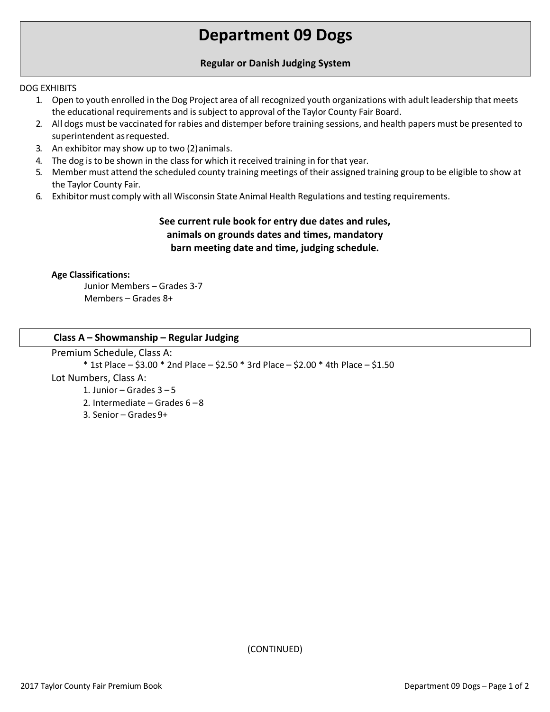# **Department 09 Dogs**

## **Regular or Danish Judging System**

### DOG EXHIBITS

- 1. Open to youth enrolled in the Dog Project area of all recognized youth organizations with adult leadership that meets the educational requirements and is subject to approval of the Taylor County Fair Board.
- 2. All dogs must be vaccinated for rabies and distemper before training sessions, and health papers must be presented to superintendent asrequested.
- 3. An exhibitor may show up to two (2)animals.
- 4. The dog is to be shown in the classfor which it received training in for that year.
- 5. Member must attend the scheduled county training meetings of their assigned training group to be eligible to show at the Taylor County Fair.
- 6. Exhibitor must comply with all Wisconsin State Animal Health Regulations and testing requirements.

# **See current rule book for entry due dates and rules, animals on grounds dates and times, mandatory barn meeting date and time, judging schedule.**

## **Age Classifications:**

Junior Members – Grades 3-7 Members – Grades 8+

## **Class A – Showmanship – Regular Judging**

Premium Schedule, Class A:

 $*$  1st Place – \$3.00  $*$  2nd Place – \$2.50  $*$  3rd Place – \$2.00  $*$  4th Place – \$1.50 Lot Numbers, Class A: 1. Junior – Grades  $3 - 5$ 2. Intermediate – Grades 6 –8 3. Senior – Grades 9+